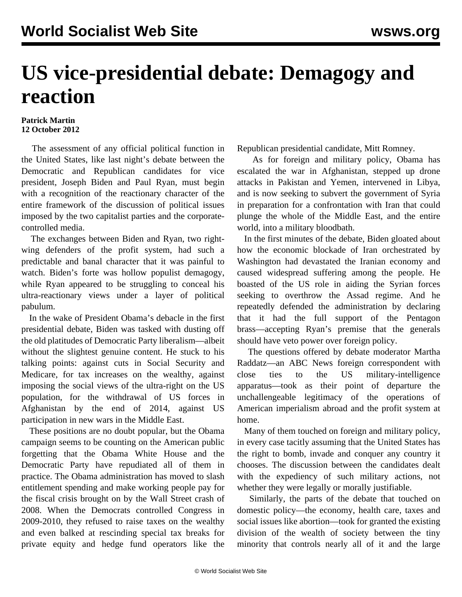## **US vice-presidential debate: Demagogy and reaction**

## **Patrick Martin 12 October 2012**

 The assessment of any official political function in the United States, like last night's debate between the Democratic and Republican candidates for vice president, Joseph Biden and Paul Ryan, must begin with a recognition of the reactionary character of the entire framework of the discussion of political issues imposed by the two capitalist parties and the corporatecontrolled media.

 The exchanges between Biden and Ryan, two rightwing defenders of the profit system, had such a predictable and banal character that it was painful to watch. Biden's forte was hollow populist demagogy, while Ryan appeared to be struggling to conceal his ultra-reactionary views under a layer of political pabulum.

 In the wake of President Obama's debacle in the first presidential debate, Biden was tasked with dusting off the old platitudes of Democratic Party liberalism—albeit without the slightest genuine content. He stuck to his talking points: against cuts in Social Security and Medicare, for tax increases on the wealthy, against imposing the social views of the ultra-right on the US population, for the withdrawal of US forces in Afghanistan by the end of 2014, against US participation in new wars in the Middle East.

 These positions are no doubt popular, but the Obama campaign seems to be counting on the American public forgetting that the Obama White House and the Democratic Party have repudiated all of them in practice. The Obama administration has moved to slash entitlement spending and make working people pay for the fiscal crisis brought on by the Wall Street crash of 2008. When the Democrats controlled Congress in 2009-2010, they refused to raise taxes on the wealthy and even balked at rescinding special tax breaks for private equity and hedge fund operators like the

Republican presidential candidate, Mitt Romney.

 As for foreign and military policy, Obama has escalated the war in Afghanistan, stepped up drone attacks in Pakistan and Yemen, intervened in Libya, and is now seeking to subvert the government of Syria in preparation for a confrontation with Iran that could plunge the whole of the Middle East, and the entire world, into a military bloodbath.

 In the first minutes of the debate, Biden gloated about how the economic blockade of Iran orchestrated by Washington had devastated the Iranian economy and caused widespread suffering among the people. He boasted of the US role in aiding the Syrian forces seeking to overthrow the Assad regime. And he repeatedly defended the administration by declaring that it had the full support of the Pentagon brass—accepting Ryan's premise that the generals should have veto power over foreign policy.

 The questions offered by debate moderator Martha Raddatz—an ABC News foreign correspondent with close ties to the US military-intelligence apparatus—took as their point of departure the unchallengeable legitimacy of the operations of American imperialism abroad and the profit system at home.

 Many of them touched on foreign and military policy, in every case tacitly assuming that the United States has the right to bomb, invade and conquer any country it chooses. The discussion between the candidates dealt with the expediency of such military actions, not whether they were legally or morally justifiable.

 Similarly, the parts of the debate that touched on domestic policy—the economy, health care, taxes and social issues like abortion—took for granted the existing division of the wealth of society between the tiny minority that controls nearly all of it and the large